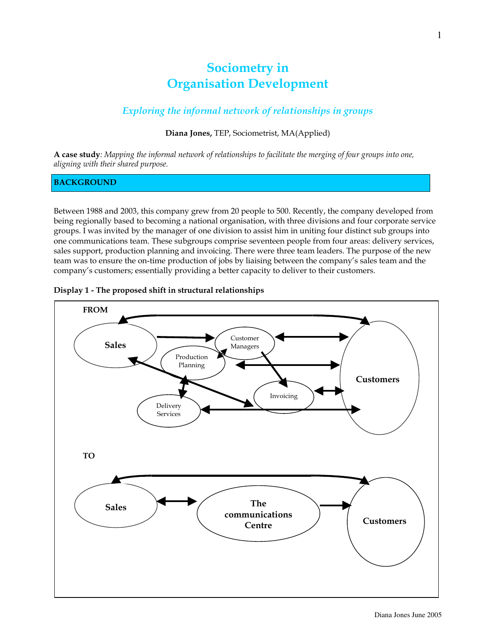# Sociometry in Organisation Development

# Exploring the informal network of relationships in groups

# Diana Jones, TEP, Sociometrist, MA(Applied)

A case study: Mapping the informal network of relationships to facilitate the merging of four groups into one, aligning with their shared purpose.

# BACKGROUND

Between 1988 and 2003, this company grew from 20 people to 500. Recently, the company developed from being regionally based to becoming a national organisation, with three divisions and four corporate service groups. I was invited by the manager of one division to assist him in uniting four distinct sub groups into one communications team. These subgroups comprise seventeen people from four areas: delivery services, sales support, production planning and invoicing. There were three team leaders. The purpose of the new team was to ensure the on-time production of jobs by liaising between the company's sales team and the company's customers; essentially providing a better capacity to deliver to their customers.



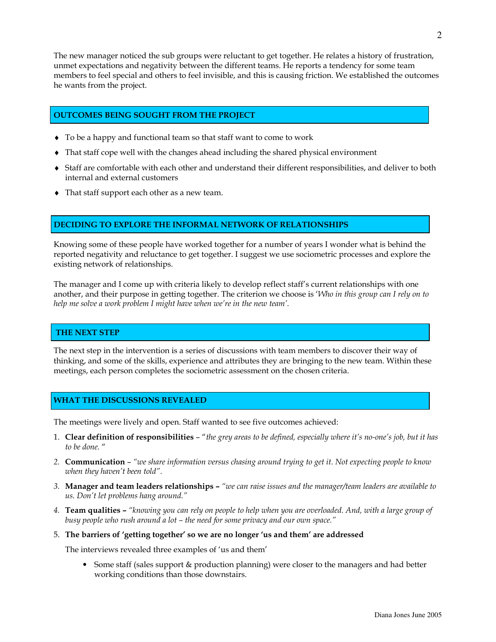The new manager noticed the sub groups were reluctant to get together. He relates a history of frustration, unmet expectations and negativity between the different teams. He reports a tendency for some team members to feel special and others to feel invisible, and this is causing friction. We established the outcomes he wants from the project.

# OUTCOMES BEING SOUGHT FROM THE PROJECT

- ♦ To be a happy and functional team so that staff want to come to work
- ♦ That staff cope well with the changes ahead including the shared physical environment
- ♦ Staff are comfortable with each other and understand their different responsibilities, and deliver to both internal and external customers
- ♦ That staff support each other as a new team.

# DECIDING TO EXPLORE THE INFORMAL NETWORK OF RELATIONSHIPS

Knowing some of these people have worked together for a number of years I wonder what is behind the reported negativity and reluctance to get together. I suggest we use sociometric processes and explore the existing network of relationships.

The manager and I come up with criteria likely to develop reflect staff's current relationships with one another, and their purpose in getting together. The criterion we choose is 'Who in this group can I rely on to help me solve a work problem I might have when we're in the new team'.

#### THE NEXT STEP

The next step in the intervention is a series of discussions with team members to discover their way of thinking, and some of the skills, experience and attributes they are bringing to the new team. Within these meetings, each person completes the sociometric assessment on the chosen criteria.

#### WHAT THE DISCUSSIONS REVEALED

The meetings were lively and open. Staff wanted to see five outcomes achieved:

- 1. Clear definition of responsibilities "the grey areas to be defined, especially where it's no-one's job, but it has to be done. "
- 2. **Communication** "we share information versus chasing around trying to get it. Not expecting people to know when they haven't been told".
- 3. Manager and team leaders relationships "we can raise issues and the manager/team leaders are available to us. Don't let problems hang around."
- 4. Team qualities "knowing you can rely on people to help when you are overloaded. And, with a large group of busy people who rush around a lot – the need for some privacy and our own space."
- 5. The barriers of 'getting together' so we are no longer 'us and them' are addressed

The interviews revealed three examples of 'us and them'

• Some staff (sales support & production planning) were closer to the managers and had better working conditions than those downstairs.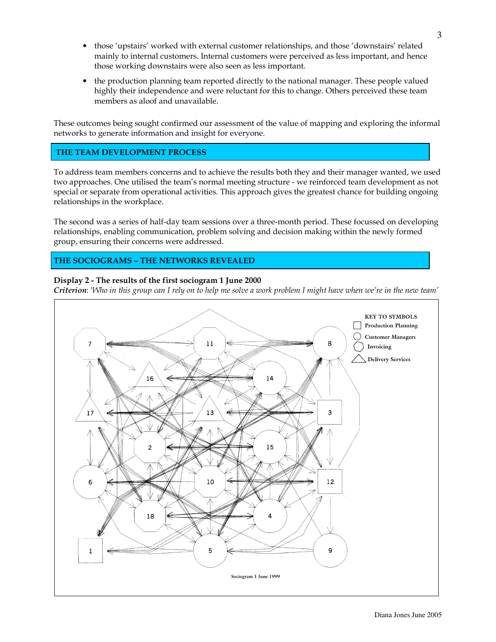- those 'upstairs' worked with external customer relationships, and those 'downstairs' related mainly to internal customers. Internal customers were perceived as less important, and hence those working downstairs were also seen as less important.
- the production planning team reported directly to the national manager. These people valued highly their independence and were reluctant for this to change. Others perceived these team members as aloof and unavailable.

These outcomes being sought confirmed our assessment of the value of mapping and exploring the informal networks to generate information and insight for everyone.

# THE TEAM DEVELOPMENT PROCESS

To address team members concerns and to achieve the results both they and their manager wanted, we used two approaches. One utilised the team's normal meeting structure - we reinforced team development as not special or separate from operational activities. This approach gives the greatest chance for building ongoing relationships in the workplace.

The second was a series of half-day team sessions over a three-month period. These focussed on developing relationships, enabling communication, problem solving and decision making within the newly formed group, ensuring their concerns were addressed.

# THE SOCIOGRAMS – THE NETWORKS REVEALED

# Display 2 - The results of the first sociogram 1 June 2000

Criterion: 'Who in this group can I rely on to help me solve a work problem I might have when we're in the new team'

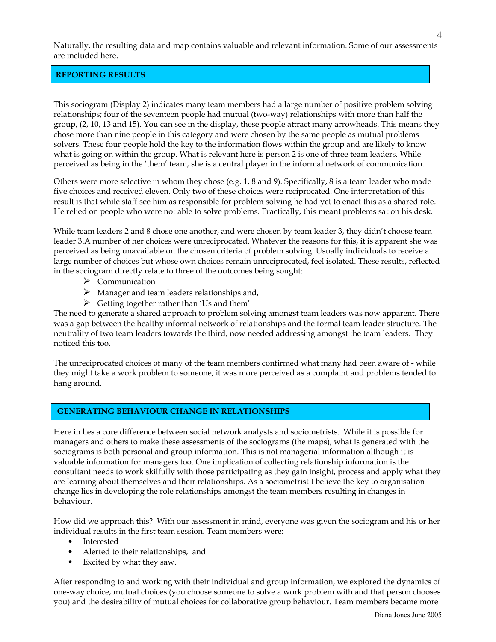Naturally, the resulting data and map contains valuable and relevant information. Some of our assessments are included here.

#### REPORTING RESULTS

This sociogram (Display 2) indicates many team members had a large number of positive problem solving relationships; four of the seventeen people had mutual (two-way) relationships with more than half the group, (2, 10, 13 and 15). You can see in the display, these people attract many arrowheads. This means they chose more than nine people in this category and were chosen by the same people as mutual problems solvers. These four people hold the key to the information flows within the group and are likely to know what is going on within the group. What is relevant here is person 2 is one of three team leaders. While perceived as being in the 'them' team, she is a central player in the informal network of communication.

Others were more selective in whom they chose (e.g. 1, 8 and 9). Specifically, 8 is a team leader who made five choices and received eleven. Only two of these choices were reciprocated. One interpretation of this result is that while staff see him as responsible for problem solving he had yet to enact this as a shared role. He relied on people who were not able to solve problems. Practically, this meant problems sat on his desk.

While team leaders 2 and 8 chose one another, and were chosen by team leader 3, they didn't choose team leader 3.A number of her choices were unreciprocated. Whatever the reasons for this, it is apparent she was perceived as being unavailable on the chosen criteria of problem solving. Usually individuals to receive a large number of choices but whose own choices remain unreciprocated, feel isolated. These results, reflected in the sociogram directly relate to three of the outcomes being sought:

- > Communication
- $\triangleright$  Manager and team leaders relationships and,
- $\triangleright$  Getting together rather than 'Us and them'

The need to generate a shared approach to problem solving amongst team leaders was now apparent. There was a gap between the healthy informal network of relationships and the formal team leader structure. The neutrality of two team leaders towards the third, now needed addressing amongst the team leaders. They noticed this too.

The unreciprocated choices of many of the team members confirmed what many had been aware of - while they might take a work problem to someone, it was more perceived as a complaint and problems tended to hang around.

#### GENERATING BEHAVIOUR CHANGE IN RELATIONSHIPS

Here in lies a core difference between social network analysts and sociometrists. While it is possible for managers and others to make these assessments of the sociograms (the maps), what is generated with the sociograms is both personal and group information. This is not managerial information although it is valuable information for managers too. One implication of collecting relationship information is the consultant needs to work skilfully with those participating as they gain insight, process and apply what they are learning about themselves and their relationships. As a sociometrist I believe the key to organisation change lies in developing the role relationships amongst the team members resulting in changes in behaviour.

How did we approach this? With our assessment in mind, everyone was given the sociogram and his or her individual results in the first team session. Team members were:

- Interested
- Alerted to their relationships, and
- Excited by what they saw.

After responding to and working with their individual and group information, we explored the dynamics of one-way choice, mutual choices (you choose someone to solve a work problem with and that person chooses you) and the desirability of mutual choices for collaborative group behaviour. Team members became more